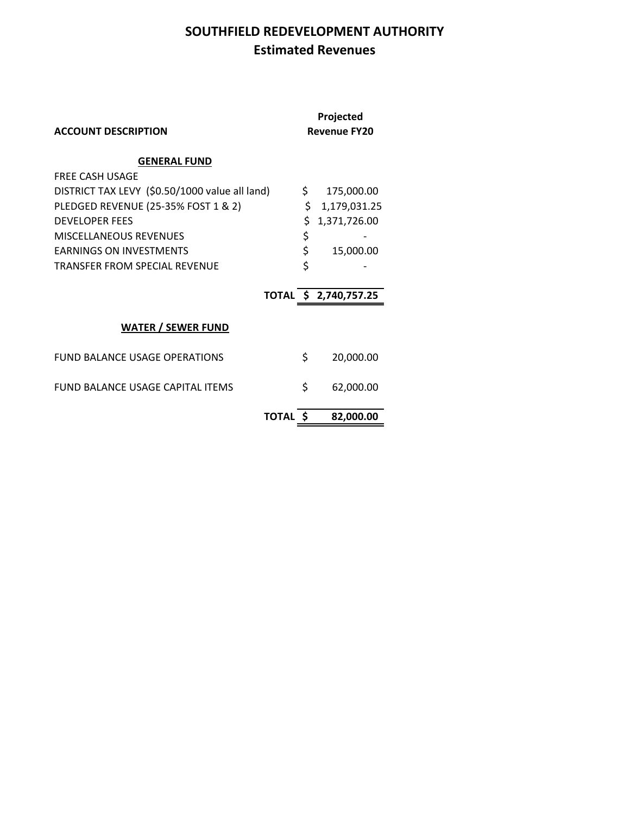## **SOUTHFIELD REDEVELOPMENT AUTHORITY Estimated Revenues**

| <b>ACCOUNT DESCRIPTION</b>                     | Projected<br><b>Revenue FY20</b> |                       |
|------------------------------------------------|----------------------------------|-----------------------|
| <b>GENERAL FUND</b>                            |                                  |                       |
| <b>FREE CASH USAGE</b>                         |                                  |                       |
| DISTRICT TAX LEVY (\$0.50/1000 value all land) | \$                               | 175,000.00            |
| PLEDGED REVENUE (25-35% FOST 1 & 2)            | \$                               | 1,179,031.25          |
| <b>DEVELOPER FEES</b>                          | \$                               | 1,371,726.00          |
| <b>MISCELLANEOUS REVENUES</b>                  | \$                               |                       |
| <b>EARNINGS ON INVESTMENTS</b>                 | \$                               | 15,000.00             |
| TRANSFER FROM SPECIAL REVENUE                  | \$                               |                       |
|                                                |                                  | TOTAL \$ 2,740,757.25 |
| <b>WATER / SEWER FUND</b>                      |                                  |                       |
| <b>FUND BALANCE USAGE OPERATIONS</b>           | \$                               | 20,000.00             |
| FUND BALANCE USAGE CAPITAL ITEMS               | \$                               | 62,000.00             |
| TOTAL S                                        |                                  | 82,000.00             |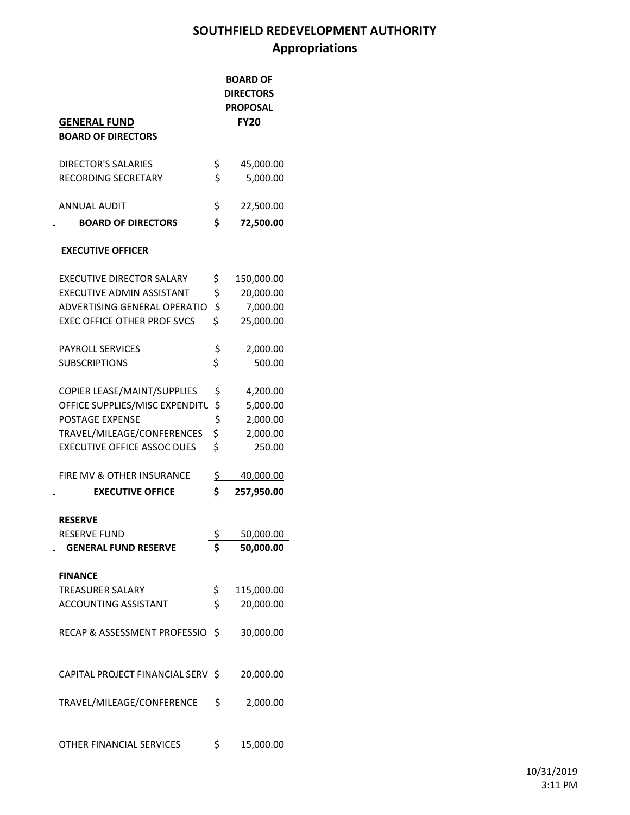# **SOUTHFIELD REDEVELOPMENT AUTHORITY Appropriations**

| <b>GENERAL FUND</b><br><b>BOARD OF DIRECTORS</b> | <b>BOARD OF</b><br><b>DIRECTORS</b><br><b>PROPOSAL</b><br><b>FY20</b> |
|--------------------------------------------------|-----------------------------------------------------------------------|
|                                                  |                                                                       |
| <b>DIRECTOR'S SALARIES</b>                       | \$<br>45,000.00                                                       |
| RECORDING SECRETARY                              | \$<br>5,000.00                                                        |
| <b>ANNUAL AUDIT</b>                              | \$<br>22,500.00                                                       |
| <b>BOARD OF DIRECTORS</b><br>L                   | \$<br>72,500.00                                                       |
| <b>EXECUTIVE OFFICER</b>                         |                                                                       |
| <b>EXECUTIVE DIRECTOR SALARY</b>                 | \$<br>150,000.00                                                      |
| <b>EXECUTIVE ADMIN ASSISTANT</b>                 | \$<br>20,000.00                                                       |
| ADVERTISING GENERAL OPERATIO                     | \$<br>7,000.00                                                        |
| <b>EXEC OFFICE OTHER PROF SVCS</b>               | \$<br>25,000.00                                                       |
| <b>PAYROLL SERVICES</b>                          | \$<br>2,000.00                                                        |
| <b>SUBSCRIPTIONS</b>                             | \$<br>500.00                                                          |
| COPIER LEASE/MAINT/SUPPLIES                      | \$<br>4,200.00                                                        |
| OFFICE SUPPLIES/MISC EXPENDITU                   | \$<br>5,000.00                                                        |
| POSTAGE EXPENSE                                  | \$<br>2,000.00                                                        |
| TRAVEL/MILEAGE/CONFERENCES                       | \$<br>2,000.00                                                        |
| <b>EXECUTIVE OFFICE ASSOC DUES</b>               | \$<br>250.00                                                          |
| FIRE MV & OTHER INSURANCE                        | \$<br>40,000.00                                                       |
| <b>EXECUTIVE OFFICE</b><br>L                     | \$<br>257,950.00                                                      |
| <b>RESERVE</b>                                   |                                                                       |
| <b>RESERVE FUND</b>                              | \$<br>50,000.00                                                       |
| <b>GENERAL FUND RESERVE</b>                      | \$<br>50,000.00                                                       |
| <b>FINANCE</b>                                   |                                                                       |
| <b>TREASURER SALARY</b>                          | \$<br>115,000.00                                                      |
| ACCOUNTING ASSISTANT                             | \$<br>20,000.00                                                       |
| RECAP & ASSESSMENT PROFESSIO                     | \$<br>30,000.00                                                       |
| CAPITAL PROJECT FINANCIAL SERV \$                | 20,000.00                                                             |
| TRAVEL/MILEAGE/CONFERENCE                        | \$<br>2,000.00                                                        |
| OTHER FINANCIAL SERVICES                         | \$<br>15,000.00                                                       |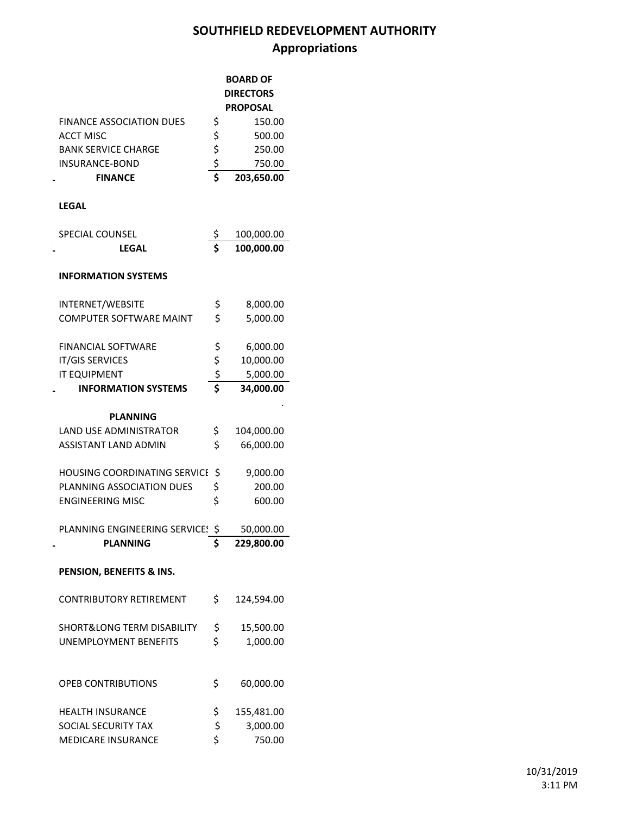# **SOUTHFIELD REDEVELOPMENT AUTHORITY Appropriations**

|                                       |                         | <b>BOARD OF</b>  |  |  |
|---------------------------------------|-------------------------|------------------|--|--|
|                                       |                         | <b>DIRECTORS</b> |  |  |
|                                       |                         | PROPOSAL         |  |  |
| <b>FINANCE ASSOCIATION DUES</b>       | \$                      | 150.00           |  |  |
| <b>ACCT MISC</b>                      |                         | 500.00           |  |  |
|                                       |                         |                  |  |  |
| <b>BANK SERVICE CHARGE</b>            |                         | 250.00           |  |  |
| <b>INSURANCE-BOND</b>                 | $\frac{5}{5}$           | 750.00           |  |  |
| <b>FINANCE</b><br>L                   |                         | 203,650.00       |  |  |
| <b>LEGAL</b>                          |                         |                  |  |  |
| SPECIAL COUNSEL                       | \$                      | 100,000.00       |  |  |
| LEGAL<br>L                            | $\overline{\mathsf{s}}$ | 100,000.00       |  |  |
| <b>INFORMATION SYSTEMS</b>            |                         |                  |  |  |
| INTERNET/WEBSITE                      | \$                      | 8,000.00         |  |  |
| <b>COMPUTER SOFTWARE MAINT</b>        | \$                      | 5,000.00         |  |  |
|                                       |                         |                  |  |  |
| <b>FINANCIAL SOFTWARE</b>             | \$                      | 6,000.00         |  |  |
| <b>IT/GIS SERVICES</b>                | \$                      | 10,000.00        |  |  |
| <b>IT EQUIPMENT</b>                   |                         | 5,000.00         |  |  |
| <b>INFORMATION SYSTEMS</b>            | $rac{5}{5}$             | 34,000.00        |  |  |
|                                       |                         |                  |  |  |
| <b>PLANNING</b>                       |                         |                  |  |  |
| <b>LAND USE ADMINISTRATOR</b>         | \$                      | 104,000.00       |  |  |
| <b>ASSISTANT LAND ADMIN</b>           | \$                      | 66,000.00        |  |  |
| <b>HOUSING COORDINATING SERVICE</b>   | \$                      | 9,000.00         |  |  |
| PLANNING ASSOCIATION DUES             | \$                      | 200.00           |  |  |
| <b>ENGINEERING MISC</b>               | \$                      |                  |  |  |
|                                       |                         | 600.00           |  |  |
| PLANNING ENGINEERING SERVICE! \$      |                         | 50,000.00        |  |  |
| <b>PLANNING</b><br>L                  | \$                      | 229,800.00       |  |  |
| PENSION, BENEFITS & INS.              |                         |                  |  |  |
| <b>CONTRIBUTORY RETIREMENT</b>        | \$                      | 124,594.00       |  |  |
| <b>SHORT&amp;LONG TERM DISABILITY</b> | \$                      | 15,500.00        |  |  |
| <b>UNEMPLOYMENT BENEFITS</b>          | \$                      | 1,000.00         |  |  |
|                                       |                         |                  |  |  |
| <b>OPEB CONTRIBUTIONS</b>             | \$                      | 60,000.00        |  |  |
| <b>HEALTH INSURANCE</b>               | \$                      | 155,481.00       |  |  |
| <b>SOCIAL SECURITY TAX</b>            | \$                      | 3,000.00         |  |  |
| MEDICARE INSURANCE                    | \$                      | 750.00           |  |  |